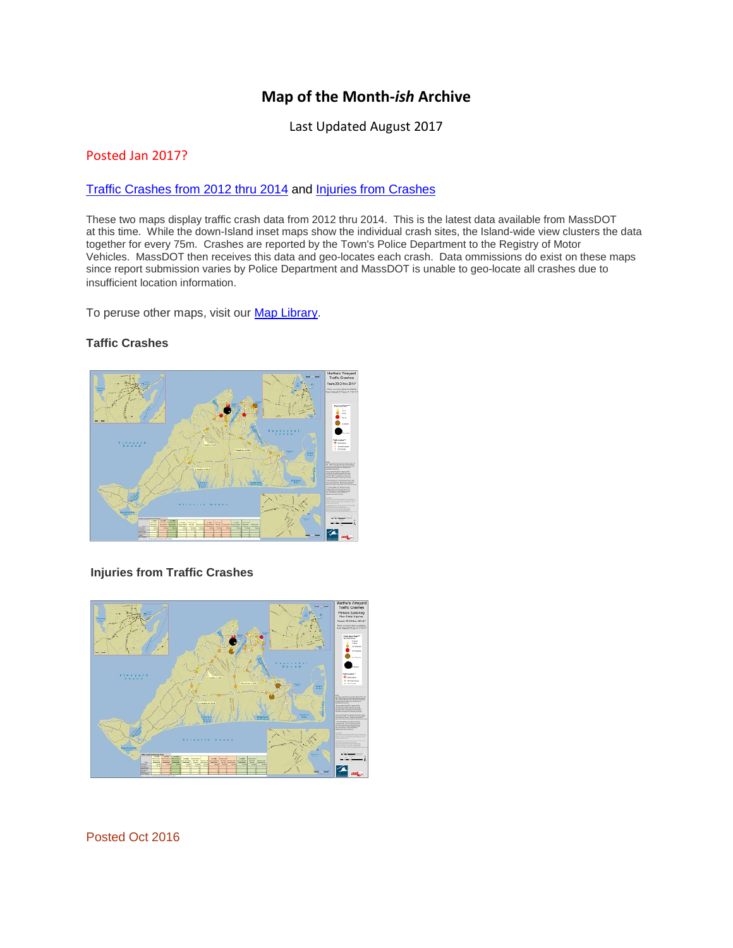# **Map of the Month-***ish* **Archive**

Last Updated August 2017

## Posted Jan 2017?

#### [Traffic Crashes from 2012 thru 2014](http://www.mvcommission.org/node/52577/attachment/newest) and [Injuries from Crashes](http://www.mvcommission.org/node/52579/attachment/newest)

These two maps display traffic crash data from 2012 thru 2014. This is the latest data available from MassDOT at this time. While the down-Island inset maps show the individual crash sites, the Island-wide view clusters the data together for every 75m. Crashes are reported by the Town's Police Department to the Registry of Motor Vehicles. MassDOT then receives this data and geo-locates each crash. Data ommissions do exist on these maps since report submission varies by Police Department and MassDOT is unable to geo-locate all crashes due to insufficient location information.

To peruse other maps, visit our [Map Library.](http://www.mvcommission.org/map-library)

# **Taffic Crashes**



#### **Injuries from Traffic Crashes**



Posted Oct 2016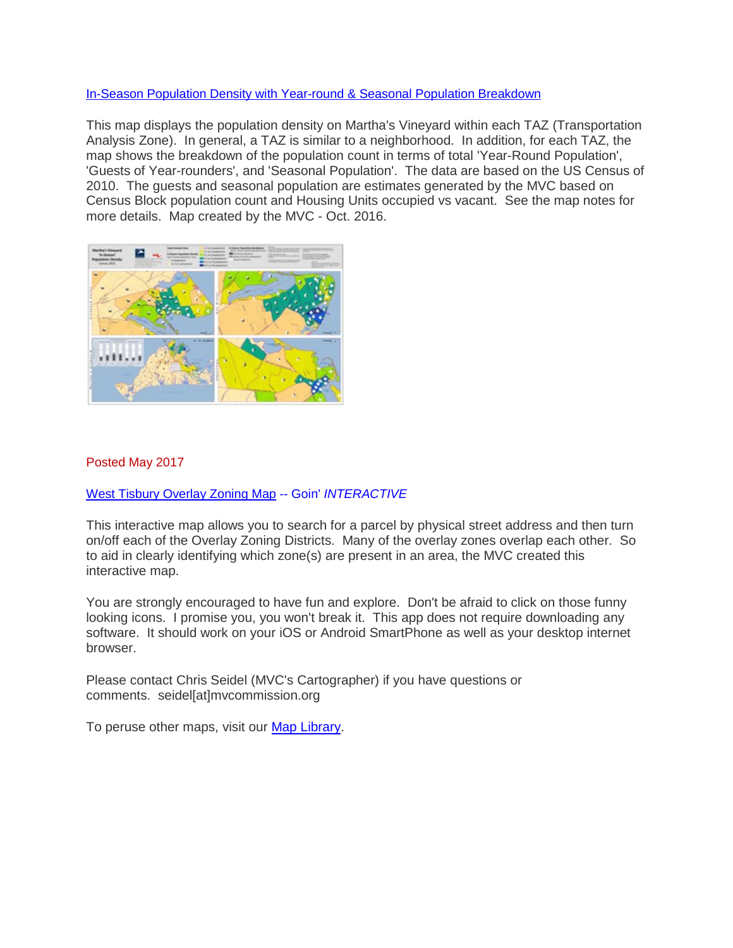# In-Season [Population Density with Year-round & Seasonal Population Breakdown](http://www.mvcommission.org/node/52449/attachment/newest)

This map displays the population density on Martha's Vineyard within each TAZ (Transportation Analysis Zone). In general, a TAZ is similar to a neighborhood. In addition, for each TAZ, the map shows the breakdown of the population count in terms of total 'Year-Round Population', 'Guests of Year-rounders', and 'Seasonal Population'. The data are based on the US Census of 2010. The guests and seasonal population are estimates generated by the MVC based on Census Block population count and Housing Units occupied vs vacant. See the map notes for more details. Map created by the MVC - Oct. 2016.



## Posted May 2017

[West Tisbury Overlay Zoning Map](http://dukescountygis.maps.arcgis.com/apps/webappviewer/index.html?id=38c0378077284fef9c3dd99194bc9467) -- Goin' *INTERACTIVE*

This interactive map allows you to search for a parcel by physical street address and then turn on/off each of the Overlay Zoning Districts. Many of the overlay zones overlap each other. So to aid in clearly identifying which zone(s) are present in an area, the MVC created this interactive map.

You are strongly encouraged to have fun and explore. Don't be afraid to click on those funny looking icons. I promise you, you won't break it. This app does not require downloading any software. It should work on your iOS or Android SmartPhone as well as your desktop internet browser.

Please contact Chris Seidel (MVC's Cartographer) if you have questions or comments. seidel[at]mvcommission.org

To peruse other maps, visit our [Map Library.](http://www.mvcommission.org/map-library)